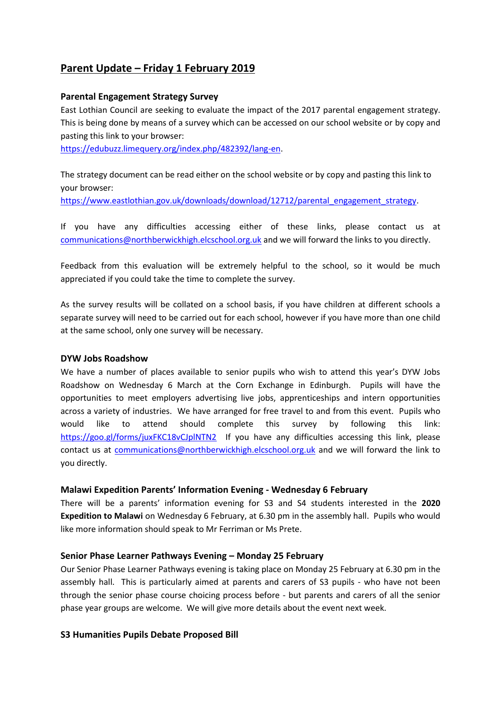# **Parent Update – Friday 1 February 2019**

#### **Parental Engagement Strategy Survey**

East Lothian Council are seeking to evaluate the impact of the 2017 parental engagement strategy. This is being done by means of a survey which can be accessed on our school website or by copy and pasting this link to your browser:

[https://edubuzz.limequery.org/index.php/482392/lang-en.](https://edubuzz.limequery.org/index.php/482392/lang-en)

The strategy document can be read either on the school website or by copy and pasting this link to your browser:

[https://www.eastlothian.gov.uk/downloads/download/12712/parental\\_engagement\\_strategy.](https://www.eastlothian.gov.uk/downloads/download/12712/parental_engagement_strategy)

If you have any difficulties accessing either of these links, please contact us at [communications@northberwickhigh.elcschool.org.uk](mailto:communications@northberwickhigh.elcschool.org.uk) and we will forward the links to you directly.

Feedback from this evaluation will be extremely helpful to the school, so it would be much appreciated if you could take the time to complete the survey.

As the survey results will be collated on a school basis, if you have children at different schools a separate survey will need to be carried out for each school, however if you have more than one child at the same school, only one survey will be necessary.

#### **DYW Jobs Roadshow**

We have a number of places available to senior pupils who wish to attend this year's DYW Jobs Roadshow on Wednesday 6 March at the Corn Exchange in Edinburgh. Pupils will have the opportunities to meet employers advertising live jobs, apprenticeships and intern opportunities across a variety of industries. We have arranged for free travel to and from this event. Pupils who would like to attend should complete this survey by following this link: <https://goo.gl/forms/juxFKC18vCJplNTN2>If you have any difficulties accessing this link, please contact us at [communications@northberwickhigh.elcschool.org.uk](mailto:communications@northberwickhigh.elcschool.org.uk) and we will forward the link to you directly.

## **Malawi Expedition Parents' Information Evening - Wednesday 6 February**

There will be a parents' information evening for S3 and S4 students interested in the **2020 Expedition to Malawi** on Wednesday 6 February, at 6.30 pm in the assembly hall. Pupils who would like more information should speak to Mr Ferriman or Ms Prete.

## **Senior Phase Learner Pathways Evening – Monday 25 February**

Our Senior Phase Learner Pathways evening is taking place on Monday 25 February at 6.30 pm in the assembly hall. This is particularly aimed at parents and carers of S3 pupils - who have not been through the senior phase course choicing process before - but parents and carers of all the senior phase year groups are welcome. We will give more details about the event next week.

## **S3 Humanities Pupils Debate Proposed Bill**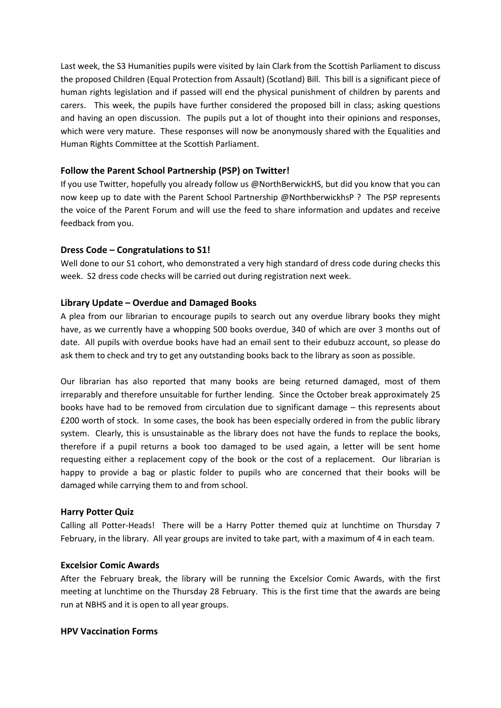Last week, the S3 Humanities pupils were visited by Iain Clark from the Scottish Parliament to discuss the proposed Children (Equal Protection from Assault) (Scotland) Bill. This bill is a significant piece of human rights legislation and if passed will end the physical punishment of children by parents and carers. This week, the pupils have further considered the proposed bill in class; asking questions and having an open discussion. The pupils put a lot of thought into their opinions and responses, which were very mature. These responses will now be anonymously shared with the Equalities and Human Rights Committee at the Scottish Parliament.

## **Follow the Parent School Partnership (PSP) on Twitter!**

If you use Twitter, hopefully you already follow us @NorthBerwickHS, but did you know that you can now keep up to date with the Parent School Partnership @NorthberwickhsP ? The PSP represents the voice of the Parent Forum and will use the feed to share information and updates and receive feedback from you.

# **Dress Code – Congratulations to S1!**

Well done to our S1 cohort, who demonstrated a very high standard of dress code during checks this week. S2 dress code checks will be carried out during registration next week.

# **Library Update – Overdue and Damaged Books**

A plea from our librarian to encourage pupils to search out any overdue library books they might have, as we currently have a whopping 500 books overdue, 340 of which are over 3 months out of date. All pupils with overdue books have had an email sent to their edubuzz account, so please do ask them to check and try to get any outstanding books back to the library as soon as possible.

Our librarian has also reported that many books are being returned damaged, most of them irreparably and therefore unsuitable for further lending. Since the October break approximately 25 books have had to be removed from circulation due to significant damage – this represents about £200 worth of stock. In some cases, the book has been especially ordered in from the public library system. Clearly, this is unsustainable as the library does not have the funds to replace the books, therefore if a pupil returns a book too damaged to be used again, a letter will be sent home requesting either a replacement copy of the book or the cost of a replacement. Our librarian is happy to provide a bag or plastic folder to pupils who are concerned that their books will be damaged while carrying them to and from school.

## **Harry Potter Quiz**

Calling all Potter-Heads! There will be a Harry Potter themed quiz at lunchtime on Thursday 7 February, in the library. All year groups are invited to take part, with a maximum of 4 in each team.

## **Excelsior Comic Awards**

After the February break, the library will be running the Excelsior Comic Awards, with the first meeting at lunchtime on the Thursday 28 February. This is the first time that the awards are being run at NBHS and it is open to all year groups.

## **HPV Vaccination Forms**